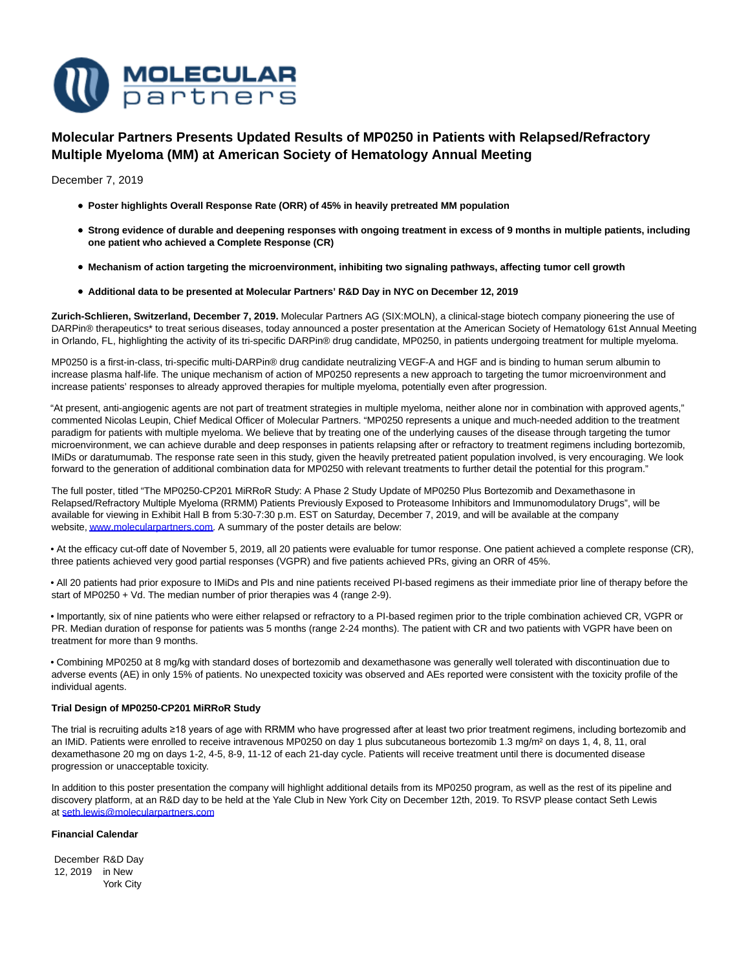

# **Molecular Partners Presents Updated Results of MP0250 in Patients with Relapsed/Refractory Multiple Myeloma (MM) at American Society of Hematology Annual Meeting**

December 7, 2019

- **Poster highlights Overall Response Rate (ORR) of 45% in heavily pretreated MM population**
- **Strong evidence of durable and deepening responses with ongoing treatment in excess of 9 months in multiple patients, including one patient who achieved a Complete Response (CR)**
- **Mechanism of action targeting the microenvironment, inhibiting two signaling pathways, affecting tumor cell growth**
- **Additional data to be presented at Molecular Partners' R&D Day in NYC on December 12, 2019**

**Zurich-Schlieren, Switzerland, December 7, 2019.** Molecular Partners AG (SIX:MOLN), a clinical-stage biotech company pioneering the use of DARPin® therapeutics\* to treat serious diseases, today announced a poster presentation at the American Society of Hematology 61st Annual Meeting in Orlando, FL, highlighting the activity of its tri-specific DARPin® drug candidate, MP0250, in patients undergoing treatment for multiple myeloma.

MP0250 is a first-in-class, tri-specific multi-DARPin® drug candidate neutralizing VEGF-A and HGF and is binding to human serum albumin to increase plasma half-life. The unique mechanism of action of MP0250 represents a new approach to targeting the tumor microenvironment and increase patients' responses to already approved therapies for multiple myeloma, potentially even after progression.

"At present, anti-angiogenic agents are not part of treatment strategies in multiple myeloma, neither alone nor in combination with approved agents," commented Nicolas Leupin, Chief Medical Officer of Molecular Partners. "MP0250 represents a unique and much-needed addition to the treatment paradigm for patients with multiple myeloma. We believe that by treating one of the underlying causes of the disease through targeting the tumor microenvironment, we can achieve durable and deep responses in patients relapsing after or refractory to treatment regimens including bortezomib, IMiDs or daratumumab. The response rate seen in this study, given the heavily pretreated patient population involved, is very encouraging. We look forward to the generation of additional combination data for MP0250 with relevant treatments to further detail the potential for this program."

The full poster, titled "The MP0250-CP201 MiRRoR Study: A Phase 2 Study Update of MP0250 Plus Bortezomib and Dexamethasone in Relapsed/Refractory Multiple Myeloma (RRMM) Patients Previously Exposed to Proteasome Inhibitors and Immunomodulatory Drugs", will be available for viewing in Exhibit Hall B from 5:30-7:30 p.m. EST on Saturday, December 7, 2019, and will be available at the company website[, www.molecularpartners.com.](https://investors.molecularpartners.com/investor-and-scientific-documents/scientific-presentations/) A summary of the poster details are below:

• At the efficacy cut-off date of November 5, 2019, all 20 patients were evaluable for tumor response. One patient achieved a complete response (CR), three patients achieved very good partial responses (VGPR) and five patients achieved PRs, giving an ORR of 45%.

• All 20 patients had prior exposure to IMiDs and PIs and nine patients received PI-based regimens as their immediate prior line of therapy before the start of MP0250 + Vd. The median number of prior therapies was 4 (range 2-9).

• Importantly, six of nine patients who were either relapsed or refractory to a PI-based regimen prior to the triple combination achieved CR, VGPR or PR. Median duration of response for patients was 5 months (range 2-24 months). The patient with CR and two patients with VGPR have been on treatment for more than 9 months.

• Combining MP0250 at 8 mg/kg with standard doses of bortezomib and dexamethasone was generally well tolerated with discontinuation due to adverse events (AE) in only 15% of patients. No unexpected toxicity was observed and AEs reported were consistent with the toxicity profile of the individual agents.

#### **Trial Design of MP0250-CP201 MiRRoR Study**

The trial is recruiting adults ≥18 years of age with RRMM who have progressed after at least two prior treatment regimens, including bortezomib and an IMiD. Patients were enrolled to receive intravenous MP0250 on day 1 plus subcutaneous bortezomib 1.3 mg/m<sup>2</sup> on days 1, 4, 8, 11, oral dexamethasone 20 mg on days 1-2, 4-5, 8-9, 11-12 of each 21-day cycle. Patients will receive treatment until there is documented disease progression or unacceptable toxicity.

In addition to this poster presentation the company will highlight additional details from its MP0250 program, as well as the rest of its pipeline and discovery platform, at an R&D day to be held at the Yale Club in New York City on December 12th, 2019. To RSVP please contact Seth Lewis at [seth.lewis@molecularpartners.com](mailto:seth.lewis@molecularpartners.com)

## **Financial Calendar**

December R&D Day 12, 2019 in New York City